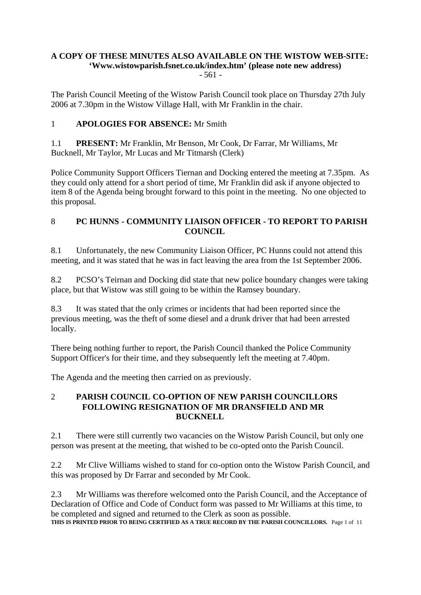#### **A COPY OF THESE MINUTES ALSO AVAILABLE ON THE WISTOW WEB-SITE: 'Www.wistowparish.fsnet.co.uk/index.htm' (please note new address)** - 561 -

The Parish Council Meeting of the Wistow Parish Council took place on Thursday 27th July 2006 at 7.30pm in the Wistow Village Hall, with Mr Franklin in the chair.

### 1 **APOLOGIES FOR ABSENCE:** Mr Smith

1.1 **PRESENT:** Mr Franklin, Mr Benson, Mr Cook, Dr Farrar, Mr Williams, Mr Bucknell, Mr Taylor, Mr Lucas and Mr Titmarsh (Clerk)

Police Community Support Officers Tiernan and Docking entered the meeting at 7.35pm. As they could only attend for a short period of time, Mr Franklin did ask if anyone objected to item 8 of the Agenda being brought forward to this point in the meeting. No one objected to this proposal.

### 8 **PC HUNNS - COMMUNITY LIAISON OFFICER - TO REPORT TO PARISH COUNCIL**

8.1 Unfortunately, the new Community Liaison Officer, PC Hunns could not attend this meeting, and it was stated that he was in fact leaving the area from the 1st September 2006.

8.2 PCSO's Teirnan and Docking did state that new police boundary changes were taking place, but that Wistow was still going to be within the Ramsey boundary.

8.3 It was stated that the only crimes or incidents that had been reported since the previous meeting, was the theft of some diesel and a drunk driver that had been arrested locally.

There being nothing further to report, the Parish Council thanked the Police Community Support Officer's for their time, and they subsequently left the meeting at 7.40pm.

The Agenda and the meeting then carried on as previously.

### 2 **PARISH COUNCIL CO-OPTION OF NEW PARISH COUNCILLORS FOLLOWING RESIGNATION OF MR DRANSFIELD AND MR BUCKNELL**

2.1 There were still currently two vacancies on the Wistow Parish Council, but only one person was present at the meeting, that wished to be co-opted onto the Parish Council.

2.2 Mr Clive Williams wished to stand for co-option onto the Wistow Parish Council, and this was proposed by Dr Farrar and seconded by Mr Cook.

2.3 Mr Williams was therefore welcomed onto the Parish Council, and the Acceptance of Declaration of Office and Code of Conduct form was passed to Mr Williams at this time, to be completed and signed and returned to the Clerk as soon as possible. **THIS IS PRINTED PRIOR TO BEING CERTIFIED AS A TRUE RECORD BY THE PARISH COUNCILLORS.** Page 1 of 11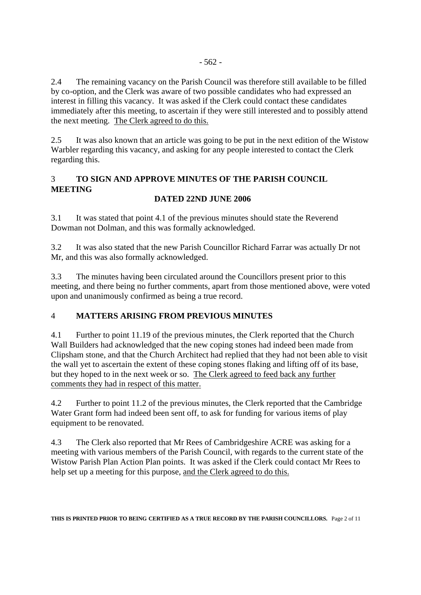2.4 The remaining vacancy on the Parish Council was therefore still available to be filled by co-option, and the Clerk was aware of two possible candidates who had expressed an interest in filling this vacancy. It was asked if the Clerk could contact these candidates immediately after this meeting, to ascertain if they were still interested and to possibly attend the next meeting. The Clerk agreed to do this.

2.5 It was also known that an article was going to be put in the next edition of the Wistow Warbler regarding this vacancy, and asking for any people interested to contact the Clerk regarding this.

## 3 **TO SIGN AND APPROVE MINUTES OF THE PARISH COUNCIL MEETING**

## **DATED 22ND JUNE 2006**

3.1 It was stated that point 4.1 of the previous minutes should state the Reverend Dowman not Dolman, and this was formally acknowledged.

3.2 It was also stated that the new Parish Councillor Richard Farrar was actually Dr not Mr, and this was also formally acknowledged.

3.3 The minutes having been circulated around the Councillors present prior to this meeting, and there being no further comments, apart from those mentioned above, were voted upon and unanimously confirmed as being a true record.

### 4 **MATTERS ARISING FROM PREVIOUS MINUTES**

4.1 Further to point 11.19 of the previous minutes, the Clerk reported that the Church Wall Builders had acknowledged that the new coping stones had indeed been made from Clipsham stone, and that the Church Architect had replied that they had not been able to visit the wall yet to ascertain the extent of these coping stones flaking and lifting off of its base, but they hoped to in the next week or so. The Clerk agreed to feed back any further comments they had in respect of this matter.

4.2 Further to point 11.2 of the previous minutes, the Clerk reported that the Cambridge Water Grant form had indeed been sent off, to ask for funding for various items of play equipment to be renovated.

4.3 The Clerk also reported that Mr Rees of Cambridgeshire ACRE was asking for a meeting with various members of the Parish Council, with regards to the current state of the Wistow Parish Plan Action Plan points. It was asked if the Clerk could contact Mr Rees to help set up a meeting for this purpose, and the Clerk agreed to do this.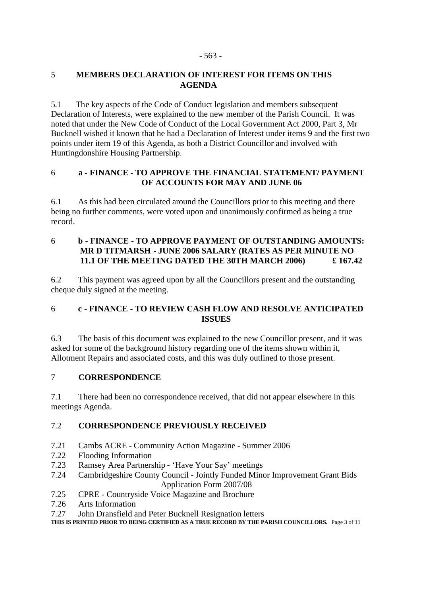# 5 **MEMBERS DECLARATION OF INTEREST FOR ITEMS ON THIS AGENDA**

5.1 The key aspects of the Code of Conduct legislation and members subsequent Declaration of Interests, were explained to the new member of the Parish Council. It was noted that under the New Code of Conduct of the Local Government Act 2000, Part 3, Mr Bucknell wished it known that he had a Declaration of Interest under items 9 and the first two points under item 19 of this Agenda, as both a District Councillor and involved with Huntingdonshire Housing Partnership.

### 6 **a - FINANCE - TO APPROVE THE FINANCIAL STATEMENT/ PAYMENT OF ACCOUNTS FOR MAY AND JUNE 06**

6.1 As this had been circulated around the Councillors prior to this meeting and there being no further comments, were voted upon and unanimously confirmed as being a true record.

### 6 **b - FINANCE - TO APPROVE PAYMENT OF OUTSTANDING AMOUNTS: MR D TITMARSH - JUNE 2006 SALARY (RATES AS PER MINUTE NO 11.1 OF THE MEETING DATED THE 30TH MARCH 2006) £ 167.42**

6.2 This payment was agreed upon by all the Councillors present and the outstanding cheque duly signed at the meeting.

# 6 **c - FINANCE - TO REVIEW CASH FLOW AND RESOLVE ANTICIPATED ISSUES**

6.3 The basis of this document was explained to the new Councillor present, and it was asked for some of the background history regarding one of the items shown within it, Allotment Repairs and associated costs, and this was duly outlined to those present.

# 7 **CORRESPONDENCE**

7.1 There had been no correspondence received, that did not appear elsewhere in this meetings Agenda.

# 7.2 **CORRESPONDENCE PREVIOUSLY RECEIVED**

- 7.21 Cambs ACRE Community Action Magazine Summer 2006
- 7.22 Flooding Information
- 7.23 Ramsey Area Partnership 'Have Your Say' meetings
- 7.24 Cambridgeshire County Council Jointly Funded Minor Improvement Grant Bids Application Form 2007/08
- 7.25 CPRE Countryside Voice Magazine and Brochure
- 7.26 Arts Information
- 7.27 John Dransfield and Peter Bucknell Resignation letters

**THIS IS PRINTED PRIOR TO BEING CERTIFIED AS A TRUE RECORD BY THE PARISH COUNCILLORS.** Page 3 of 11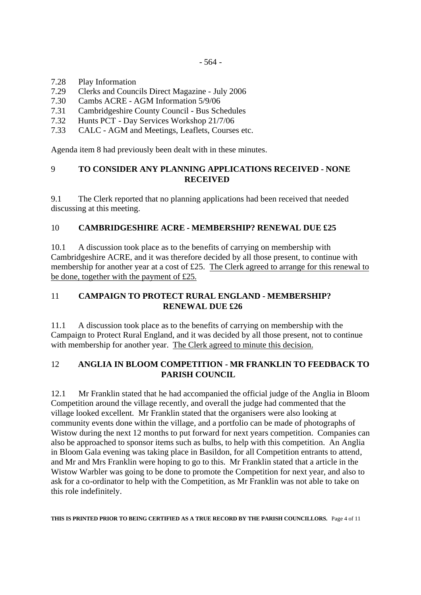- 7.28 Play Information
- 7.29 Clerks and Councils Direct Magazine July 2006
- 7.30 Cambs ACRE AGM Information 5/9/06
- 7.31 Cambridgeshire County Council Bus Schedules
- 7.32 Hunts PCT Day Services Workshop 21/7/06
- 7.33 CALC AGM and Meetings, Leaflets, Courses etc.

Agenda item 8 had previously been dealt with in these minutes.

#### 9 **TO CONSIDER ANY PLANNING APPLICATIONS RECEIVED - NONE RECEIVED**

9.1 The Clerk reported that no planning applications had been received that needed discussing at this meeting.

#### 10 **CAMBRIDGESHIRE ACRE - MEMBERSHIP? RENEWAL DUE £25**

10.1 A discussion took place as to the benefits of carrying on membership with Cambridgeshire ACRE, and it was therefore decided by all those present, to continue with membership for another year at a cost of £25. The Clerk agreed to arrange for this renewal to be done, together with the payment of £25.

### 11 **CAMPAIGN TO PROTECT RURAL ENGLAND - MEMBERSHIP? RENEWAL DUE £26**

11.1 A discussion took place as to the benefits of carrying on membership with the Campaign to Protect Rural England, and it was decided by all those present, not to continue with membership for another year. The Clerk agreed to minute this decision.

### 12 **ANGLIA IN BLOOM COMPETITION - MR FRANKLIN TO FEEDBACK TO PARISH COUNCIL**

12.1 Mr Franklin stated that he had accompanied the official judge of the Anglia in Bloom Competition around the village recently, and overall the judge had commented that the village looked excellent. Mr Franklin stated that the organisers were also looking at community events done within the village, and a portfolio can be made of photographs of Wistow during the next 12 months to put forward for next years competition. Companies can also be approached to sponsor items such as bulbs, to help with this competition. An Anglia in Bloom Gala evening was taking place in Basildon, for all Competition entrants to attend, and Mr and Mrs Franklin were hoping to go to this. Mr Franklin stated that a article in the Wistow Warbler was going to be done to promote the Competition for next year, and also to ask for a co-ordinator to help with the Competition, as Mr Franklin was not able to take on this role indefinitely.

**THIS IS PRINTED PRIOR TO BEING CERTIFIED AS A TRUE RECORD BY THE PARISH COUNCILLORS.** Page 4 of 11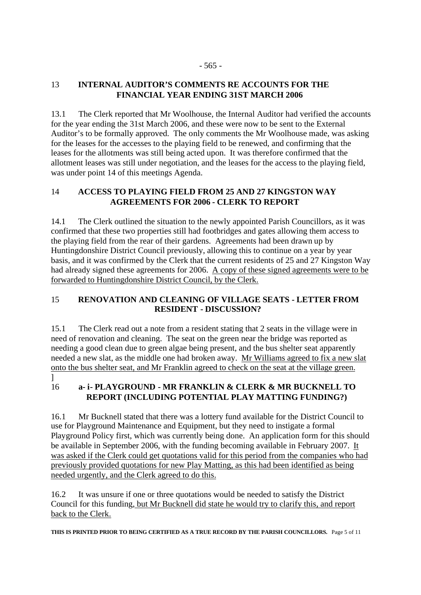#### - 565 -

### 13 **INTERNAL AUDITOR'S COMMENTS RE ACCOUNTS FOR THE FINANCIAL YEAR ENDING 31ST MARCH 2006**

13.1 The Clerk reported that Mr Woolhouse, the Internal Auditor had verified the accounts for the year ending the 31st March 2006, and these were now to be sent to the External Auditor's to be formally approved. The only comments the Mr Woolhouse made, was asking for the leases for the accesses to the playing field to be renewed, and confirming that the leases for the allotments was still being acted upon. It was therefore confirmed that the allotment leases was still under negotiation, and the leases for the access to the playing field, was under point 14 of this meetings Agenda.

### 14 **ACCESS TO PLAYING FIELD FROM 25 AND 27 KINGSTON WAY AGREEMENTS FOR 2006 - CLERK TO REPORT**

14.1 The Clerk outlined the situation to the newly appointed Parish Councillors, as it was confirmed that these two properties still had footbridges and gates allowing them access to the playing field from the rear of their gardens. Agreements had been drawn up by Huntingdonshire District Council previously, allowing this to continue on a year by year basis, and it was confirmed by the Clerk that the current residents of 25 and 27 Kingston Way had already signed these agreements for 2006. A copy of these signed agreements were to be forwarded to Huntingdonshire District Council, by the Clerk.

### 15 **RENOVATION AND CLEANING OF VILLAGE SEATS - LETTER FROM RESIDENT - DISCUSSION?**

15.1 The Clerk read out a note from a resident stating that 2 seats in the village were in need of renovation and cleaning. The seat on the green near the bridge was reported as needing a good clean due to green algae being present, and the bus shelter seat apparently needed a new slat, as the middle one had broken away. Mr Williams agreed to fix a new slat onto the bus shelter seat, and Mr Franklin agreed to check on the seat at the village green. ]

### 16 **a- i- PLAYGROUND - MR FRANKLIN & CLERK & MR BUCKNELL TO REPORT (INCLUDING POTENTIAL PLAY MATTING FUNDING?)**

16.1 Mr Bucknell stated that there was a lottery fund available for the District Council to use for Playground Maintenance and Equipment, but they need to instigate a formal Playground Policy first, which was currently being done. An application form for this should be available in September 2006, with the funding becoming available in February 2007. It was asked if the Clerk could get quotations valid for this period from the companies who had previously provided quotations for new Play Matting, as this had been identified as being needed urgently, and the Clerk agreed to do this.

16.2 It was unsure if one or three quotations would be needed to satisfy the District Council for this funding, but Mr Bucknell did state he would try to clarify this, and report back to the Clerk.

**THIS IS PRINTED PRIOR TO BEING CERTIFIED AS A TRUE RECORD BY THE PARISH COUNCILLORS.** Page 5 of 11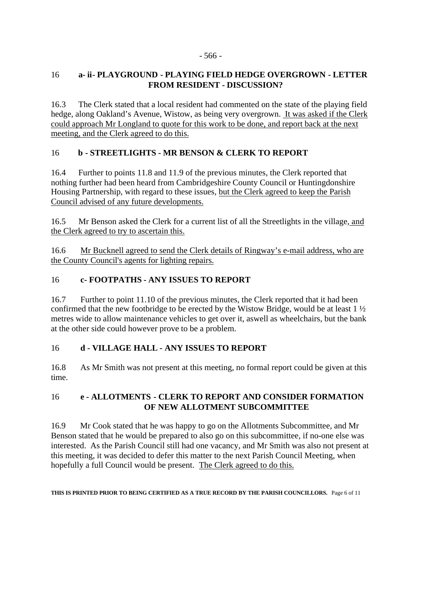#### - 566 -

### 16 **a- ii- PLAYGROUND - PLAYING FIELD HEDGE OVERGROWN - LETTER FROM RESIDENT - DISCUSSION?**

16.3 The Clerk stated that a local resident had commented on the state of the playing field hedge, along Oakland's Avenue, Wistow, as being very overgrown. It was asked if the Clerk could approach Mr Longland to quote for this work to be done, and report back at the next meeting, and the Clerk agreed to do this.

### 16 **b - STREETLIGHTS - MR BENSON & CLERK TO REPORT**

16.4 Further to points 11.8 and 11.9 of the previous minutes, the Clerk reported that nothing further had been heard from Cambridgeshire County Council or Huntingdonshire Housing Partnership, with regard to these issues, but the Clerk agreed to keep the Parish Council advised of any future developments.

16.5 Mr Benson asked the Clerk for a current list of all the Streetlights in the village, and the Clerk agreed to try to ascertain this.

16.6 Mr Bucknell agreed to send the Clerk details of Ringway's e-mail address, who are the County Council's agents for lighting repairs.

### 16 **c- FOOTPATHS - ANY ISSUES TO REPORT**

16.7 Further to point 11.10 of the previous minutes, the Clerk reported that it had been confirmed that the new footbridge to be erected by the Wistow Bridge, would be at least 1 ½ metres wide to allow maintenance vehicles to get over it, aswell as wheelchairs, but the bank at the other side could however prove to be a problem.

### 16 **d - VILLAGE HALL - ANY ISSUES TO REPORT**

16.8 As Mr Smith was not present at this meeting, no formal report could be given at this time.

### 16 **e - ALLOTMENTS - CLERK TO REPORT AND CONSIDER FORMATION OF NEW ALLOTMENT SUBCOMMITTEE**

16.9 Mr Cook stated that he was happy to go on the Allotments Subcommittee, and Mr Benson stated that he would be prepared to also go on this subcommittee, if no-one else was interested. As the Parish Council still had one vacancy, and Mr Smith was also not present at this meeting, it was decided to defer this matter to the next Parish Council Meeting, when hopefully a full Council would be present. The Clerk agreed to do this.

**THIS IS PRINTED PRIOR TO BEING CERTIFIED AS A TRUE RECORD BY THE PARISH COUNCILLORS.** Page 6 of 11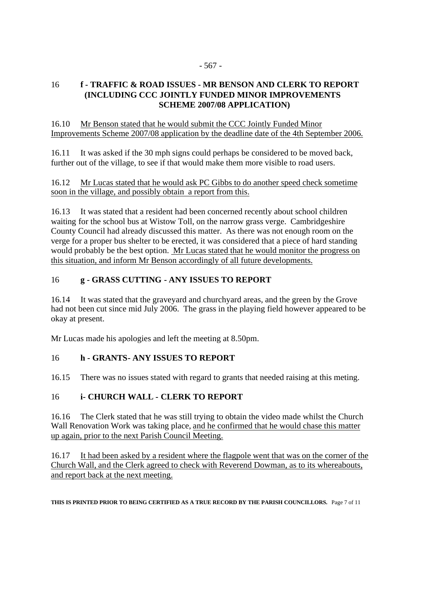#### 16 **f - TRAFFIC & ROAD ISSUES - MR BENSON AND CLERK TO REPORT (INCLUDING CCC JOINTLY FUNDED MINOR IMPROVEMENTS SCHEME 2007/08 APPLICATION)**

16.10 Mr Benson stated that he would submit the CCC Jointly Funded Minor Improvements Scheme 2007/08 application by the deadline date of the 4th September 2006.

16.11 It was asked if the 30 mph signs could perhaps be considered to be moved back, further out of the village, to see if that would make them more visible to road users.

16.12 Mr Lucas stated that he would ask PC Gibbs to do another speed check sometime soon in the village, and possibly obtain a report from this.

16.13 It was stated that a resident had been concerned recently about school children waiting for the school bus at Wistow Toll, on the narrow grass verge. Cambridgeshire County Council had already discussed this matter. As there was not enough room on the verge for a proper bus shelter to be erected, it was considered that a piece of hard standing would probably be the best option. Mr Lucas stated that he would monitor the progress on this situation, and inform Mr Benson accordingly of all future developments.

### 16 **g - GRASS CUTTING - ANY ISSUES TO REPORT**

16.14 It was stated that the graveyard and churchyard areas, and the green by the Grove had not been cut since mid July 2006. The grass in the playing field however appeared to be okay at present.

Mr Lucas made his apologies and left the meeting at 8.50pm.

### 16 **h - GRANTS- ANY ISSUES TO REPORT**

16.15 There was no issues stated with regard to grants that needed raising at this meting.

### 16 **i- CHURCH WALL - CLERK TO REPORT**

16.16 The Clerk stated that he was still trying to obtain the video made whilst the Church Wall Renovation Work was taking place, and he confirmed that he would chase this matter up again, prior to the next Parish Council Meeting.

16.17 It had been asked by a resident where the flagpole went that was on the corner of the Church Wall, and the Clerk agreed to check with Reverend Dowman, as to its whereabouts, and report back at the next meeting.

**THIS IS PRINTED PRIOR TO BEING CERTIFIED AS A TRUE RECORD BY THE PARISH COUNCILLORS.** Page 7 of 11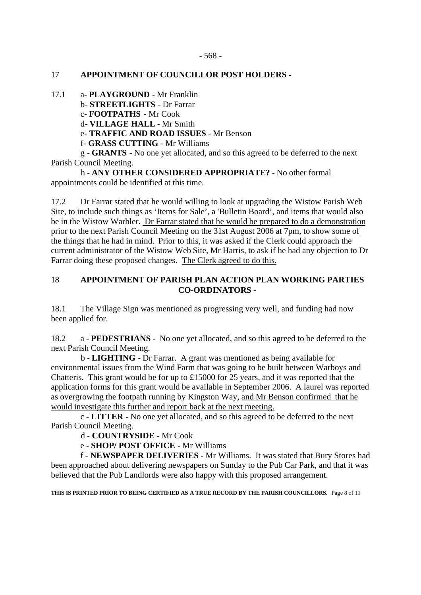#### 17 **APPOINTMENT OF COUNCILLOR POST HOLDERS -**

17.1 a- **PLAYGROUND** - Mr Franklin

b- **STREETLIGHTS** - Dr Farrar

c- **FOOTPATHS** - Mr Cook

d- **VILLAGE HALL** - Mr Smith

e- **TRAFFIC AND ROAD ISSUES** - Mr Benson

f- **GRASS CUTTING** - Mr Williams

 g - **GRANTS** - No one yet allocated, and so this agreed to be deferred to the next Parish Council Meeting.

 h - **ANY OTHER CONSIDERED APPROPRIATE?** - No other formal appointments could be identified at this time.

17.2 Dr Farrar stated that he would willing to look at upgrading the Wistow Parish Web Site, to include such things as 'Items for Sale', a 'Bulletin Board', and items that would also be in the Wistow Warbler. Dr Farrar stated that he would be prepared to do a demonstration prior to the next Parish Council Meeting on the 31st August 2006 at 7pm, to show some of the things that he had in mind. Prior to this, it was asked if the Clerk could approach the current administrator of the Wistow Web Site, Mr Harris, to ask if he had any objection to Dr Farrar doing these proposed changes. The Clerk agreed to do this.

### 18 **APPOINTMENT OF PARISH PLAN ACTION PLAN WORKING PARTIES CO-ORDINATORS -**

18.1 The Village Sign was mentioned as progressing very well, and funding had now been applied for.

18.2 a - **PEDESTRIANS** - No one yet allocated, and so this agreed to be deferred to the next Parish Council Meeting.

 b - **LIGHTING** - Dr Farrar. A grant was mentioned as being available for environmental issues from the Wind Farm that was going to be built between Warboys and Chatteris. This grant would be for up to £15000 for 25 years, and it was reported that the application forms for this grant would be available in September 2006. A laurel was reported as overgrowing the footpath running by Kingston Way, and Mr Benson confirmed that he would investigate this further and report back at the next meeting.

 c - **LITTER** - No one yet allocated, and so this agreed to be deferred to the next Parish Council Meeting.

d - **COUNTRYSIDE** - Mr Cook

e - **SHOP/ POST OFFICE** - Mr Williams

 f - **NEWSPAPER DELIVERIES** - Mr Williams. It was stated that Bury Stores had been approached about delivering newspapers on Sunday to the Pub Car Park, and that it was believed that the Pub Landlords were also happy with this proposed arrangement.

**THIS IS PRINTED PRIOR TO BEING CERTIFIED AS A TRUE RECORD BY THE PARISH COUNCILLORS.** Page 8 of 11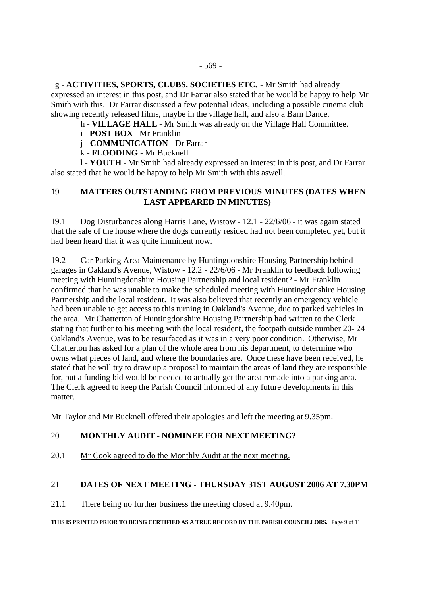g - **ACTIVITIES, SPORTS, CLUBS, SOCIETIES ETC.** - Mr Smith had already expressed an interest in this post, and Dr Farrar also stated that he would be happy to help Mr Smith with this. Dr Farrar discussed a few potential ideas, including a possible cinema club showing recently released films, maybe in the village hall, and also a Barn Dance.

h - **VILLAGE HALL** - Mr Smith was already on the Village Hall Committee.

i - **POST BOX** - Mr Franklin

j - **COMMUNICATION** - Dr Farrar

k - **FLOODING** - Mr Bucknell

 l - **YOUTH** - Mr Smith had already expressed an interest in this post, and Dr Farrar also stated that he would be happy to help Mr Smith with this aswell.

### 19 **MATTERS OUTSTANDING FROM PREVIOUS MINUTES (DATES WHEN LAST APPEARED IN MINUTES)**

19.1 Dog Disturbances along Harris Lane, Wistow - 12.1 - 22/6/06 - it was again stated that the sale of the house where the dogs currently resided had not been completed yet, but it had been heard that it was quite imminent now.

19.2 Car Parking Area Maintenance by Huntingdonshire Housing Partnership behind garages in Oakland's Avenue, Wistow - 12.2 - 22/6/06 - Mr Franklin to feedback following meeting with Huntingdonshire Housing Partnership and local resident? - Mr Franklin confirmed that he was unable to make the scheduled meeting with Huntingdonshire Housing Partnership and the local resident. It was also believed that recently an emergency vehicle had been unable to get access to this turning in Oakland's Avenue, due to parked vehicles in the area. Mr Chatterton of Huntingdonshire Housing Partnership had written to the Clerk stating that further to his meeting with the local resident, the footpath outside number 20- 24 Oakland's Avenue, was to be resurfaced as it was in a very poor condition. Otherwise, Mr Chatterton has asked for a plan of the whole area from his department, to determine who owns what pieces of land, and where the boundaries are. Once these have been received, he stated that he will try to draw up a proposal to maintain the areas of land they are responsible for, but a funding bid would be needed to actually get the area remade into a parking area. The Clerk agreed to keep the Parish Council informed of any future developments in this matter.

Mr Taylor and Mr Bucknell offered their apologies and left the meeting at 9.35pm.

### 20 **MONTHLY AUDIT - NOMINEE FOR NEXT MEETING?**

20.1 Mr Cook agreed to do the Monthly Audit at the next meeting.

### 21 **DATES OF NEXT MEETING - THURSDAY 31ST AUGUST 2006 AT 7.30PM**

21.1 There being no further business the meeting closed at 9.40pm.

**THIS IS PRINTED PRIOR TO BEING CERTIFIED AS A TRUE RECORD BY THE PARISH COUNCILLORS.** Page 9 of 11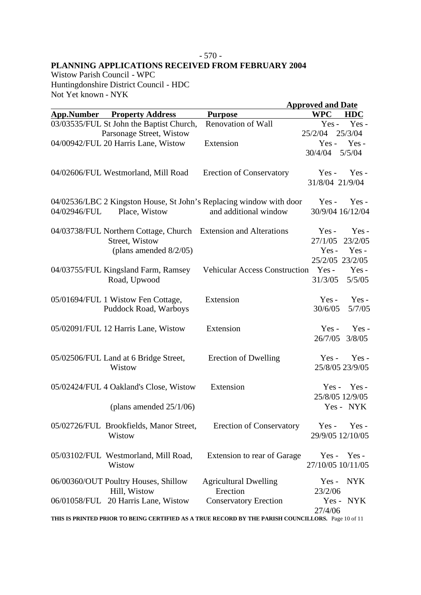### - 570 - **PLANNING APPLICATIONS RECEIVED FROM FEBRUARY 2004**

Wistow Parish Council - WPC Huntingdonshire District Council - HDC Not Yet known - NYK

|                   |                                                                 |                                                                                                    | <b>Approved and Date</b>              |
|-------------------|-----------------------------------------------------------------|----------------------------------------------------------------------------------------------------|---------------------------------------|
| <b>App.Number</b> | <b>Property Address</b>                                         | <b>Purpose</b>                                                                                     | <b>WPC</b><br><b>HDC</b>              |
|                   | 03/03535/FUL St John the Baptist Church,                        | Renovation of Wall                                                                                 | Yes-<br>$Yes -$                       |
|                   | Parsonage Street, Wistow                                        |                                                                                                    | 25/3/04<br>25/2/04                    |
|                   | 04/00942/FUL 20 Harris Lane, Wistow                             | Extension                                                                                          | Yes-<br>$Yes -$                       |
|                   |                                                                 |                                                                                                    | 5/5/04<br>30/4/04                     |
|                   | 04/02606/FUL Westmorland, Mill Road                             | <b>Erection of Conservatory</b>                                                                    | $Yes -$<br>$Yes -$<br>31/8/04 21/9/04 |
|                   |                                                                 | 04/02536/LBC 2 Kingston House, St John's Replacing window with door                                | $Yes -$<br>$Yes -$                    |
| 04/02946/FUL      | Place, Wistow                                                   | and additional window                                                                              | 30/9/04 16/12/04                      |
|                   | 04/03738/FUL Northern Cottage, Church Extension and Alterations |                                                                                                    | $Yes -$<br>$Yes -$                    |
|                   | Street, Wistow                                                  |                                                                                                    | 23/2/05<br>27/1/05                    |
|                   | (plans amended $8/2/05$ )                                       |                                                                                                    | Yes-<br>$Yes -$                       |
|                   |                                                                 |                                                                                                    | 25/2/05 23/2/05                       |
|                   | 04/03755/FUL Kingsland Farm, Ramsey                             | <b>Vehicular Access Construction</b>                                                               | $Yes -$<br>Yes-                       |
|                   | Road, Upwood                                                    |                                                                                                    | 31/3/05<br>5/5/05                     |
|                   | 05/01694/FUL 1 Wistow Fen Cottage,                              | Extension                                                                                          | Yes-<br>$Yes -$                       |
|                   | Puddock Road, Warboys                                           |                                                                                                    | 30/6/05<br>5/7/05                     |
|                   | 05/02091/FUL 12 Harris Lane, Wistow                             | Extension                                                                                          | $Yes -$<br>$Yes -$                    |
|                   |                                                                 |                                                                                                    | 26/7/05<br>3/8/05                     |
|                   | 05/02506/FUL Land at 6 Bridge Street,                           | Erection of Dwelling                                                                               | $Yes -$<br>$Yes -$                    |
|                   | Wistow                                                          |                                                                                                    | 25/8/05 23/9/05                       |
|                   | 05/02424/FUL 4 Oakland's Close, Wistow                          | Extension                                                                                          | $Yes -$<br>$Yes -$                    |
|                   |                                                                 |                                                                                                    | 25/8/05 12/9/05                       |
|                   | (plans amended $25/1/06$ )                                      |                                                                                                    | Yes - NYK                             |
|                   | 05/02726/FUL Brookfields, Manor Street,                         | <b>Erection of Conservatory</b>                                                                    | Yes-<br>Yes-                          |
|                   | Wistow                                                          |                                                                                                    | 29/9/05 12/10/05                      |
|                   | 05/03102/FUL Westmorland, Mill Road,                            | Extension to rear of Garage                                                                        | $Yes - Yes -$                         |
|                   | Wistow                                                          |                                                                                                    | 27/10/05 10/11/05                     |
|                   | 06/00360/OUT Poultry Houses, Shillow                            | <b>Agricultural Dwelling</b>                                                                       | Yes - NYK                             |
|                   | Hill, Wistow                                                    | Erection                                                                                           | 23/2/06                               |
|                   | 06/01058/FUL 20 Harris Lane, Wistow                             | <b>Conservatory Erection</b>                                                                       | $Yes -$<br>NYK<br>27/4/06             |
|                   |                                                                 | THIS IS PRINTED PRIOR TO BEING CERTIFIED AS A TRUE RECORD BY THE PARISH COUNCILLORS. Page 10 of 11 |                                       |